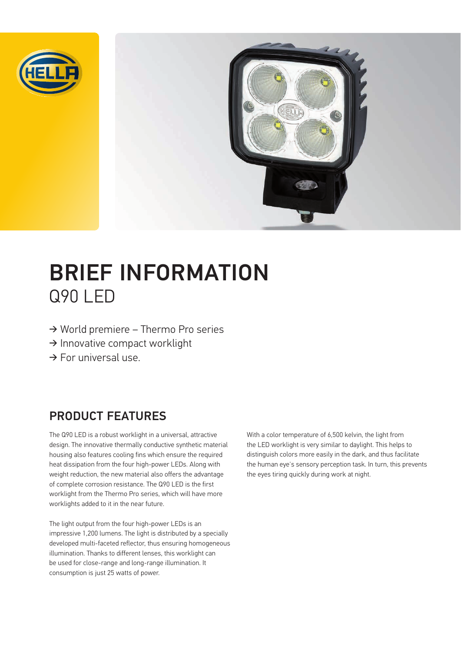



# BRIEF INFORMATION Q90 LED

- $\rightarrow$  World premiere Thermo Pro series
- $\rightarrow$  Innovative compact worklight
- $\rightarrow$  For universal use.

### PRODUCT FEATURES

The Q90 LED is a robust worklight in a universal, attractive design. The innovative thermally conductive synthetic material housing also features cooling fins which ensure the required heat dissipation from the four high-power LEDs. Along with weight reduction, the new material also offers the advantage of complete corrosion resistance. The Q90 LED is the first worklight from the Thermo Pro series, which will have more worklights added to it in the near future.

The light output from the four high-power LEDs is an impressive 1,200 lumens. The light is distributed by a specially developed multi-faceted reflector, thus ensuring homogeneous illumination. Thanks to different lenses, this worklight can be used for close-range and long-range illumination. It consumption is just 25 watts of power.

With a color temperature of 6,500 kelvin, the light from the LED worklight is very similar to daylight. This helps to distinguish colors more easily in the dark, and thus facilitate the human eye's sensory perception task. In turn, this prevents the eyes tiring quickly during work at night.